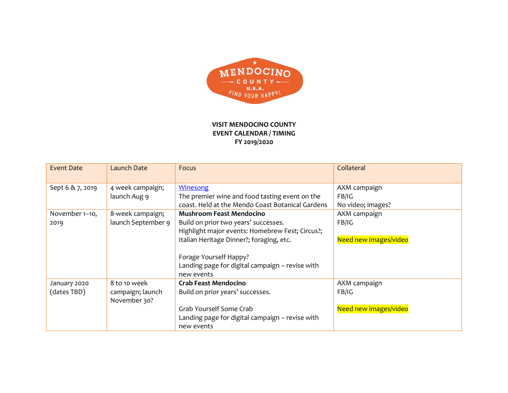

## **VISIT MENDOCINO COUNTY EVENT CALENDAR / TIMING FY 2019/2020**

| <b>Event Date</b> | <b>Launch Date</b> | Focus                                            | Collateral            |
|-------------------|--------------------|--------------------------------------------------|-----------------------|
| Sept 6 & 7, 2019  | 4 week campaign;   | <b>Winesong</b>                                  | AXM campaign          |
|                   | launch Aug 9       | The premier wine and food tasting event on the   | FB/IG                 |
|                   |                    | coast. Held at the Mendo Coast Botanical Gardens | No video; images?     |
| November 1-10,    | 8-week campaign;   | <b>Mushroom Feast Mendocino</b>                  | AXM campaign          |
| 2019              | launch September 9 | Build on prior two years' successes.             | FB/IG                 |
|                   |                    | Highlight major events: Homebrew Fest; Circus?;  |                       |
|                   |                    | Italian Heritage Dinner?; foraging, etc.         | Need new images/video |
|                   |                    |                                                  |                       |
|                   |                    | Forage Yourself Happy?                           |                       |
|                   |                    | Landing page for digital campaign - revise with  |                       |
|                   |                    | new events                                       |                       |
| January 2020      | 8 to 10 week       | <b>Crab Feast Mendocino</b>                      | AXM campaign          |
| (dates TBD)       | campaign; launch   | Build on prior years' successes.                 | FB/IG                 |
|                   | November 30?       |                                                  |                       |
|                   |                    | Grab Yourself Some Crab                          | Need new images/video |
|                   |                    | Landing page for digital campaign - revise with  |                       |
|                   |                    | new events                                       |                       |